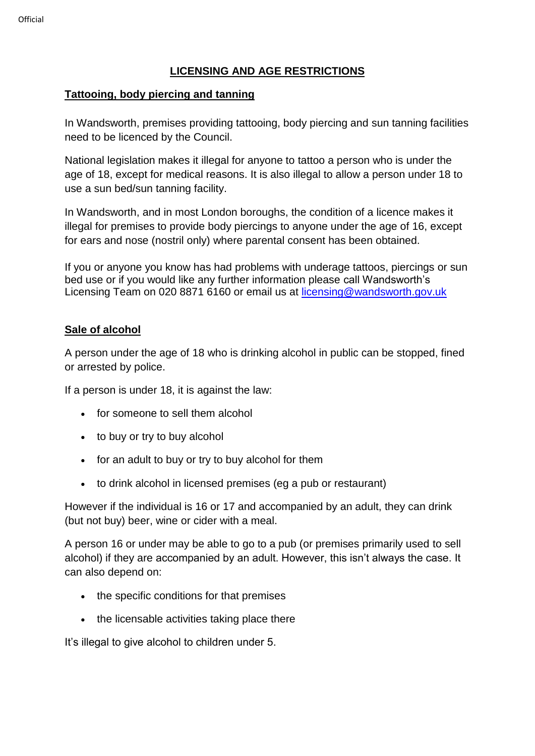## **LICENSING AND AGE RESTRICTIONS**

## **Tattooing, body piercing and tanning**

In Wandsworth, premises providing tattooing, body piercing and sun tanning facilities need to be licenced by the Council.

National legislation makes it illegal for anyone to tattoo a person who is under the age of 18, except for medical reasons. It is also illegal to allow a person under 18 to use a sun bed/sun tanning facility.

In Wandsworth, and in most London boroughs, the condition of a licence makes it illegal for premises to provide body piercings to anyone under the age of 16, except for ears and nose (nostril only) where parental consent has been obtained.

If you or anyone you know has had problems with underage tattoos, piercings or sun bed use or if you would like any further information please call Wandsworth's Licensing Team on 020 8871 6160 or email us at [licensing@wandsworth.gov.uk](mailto:licensing@wandsworth.gov.uk)

## **Sale of alcohol**

A person under the age of 18 who is drinking alcohol in public can be stopped, fined or arrested by police.

If a person is under 18, it is against the law:

- for someone to sell them alcohol
- to buy or try to buy alcohol
- for an adult to buy or try to buy alcohol for them
- to drink alcohol in licensed premises (eg a pub or restaurant)

However if the individual is 16 or 17 and accompanied by an adult, they can drink (but not buy) beer, wine or cider with a meal.

A person 16 or under may be able to go to a pub (or premises primarily used to sell alcohol) if they are accompanied by an adult. However, this isn't always the case. It can also depend on:

- the specific conditions for that premises
- the licensable activities taking place there

It's illegal to give alcohol to children under 5.